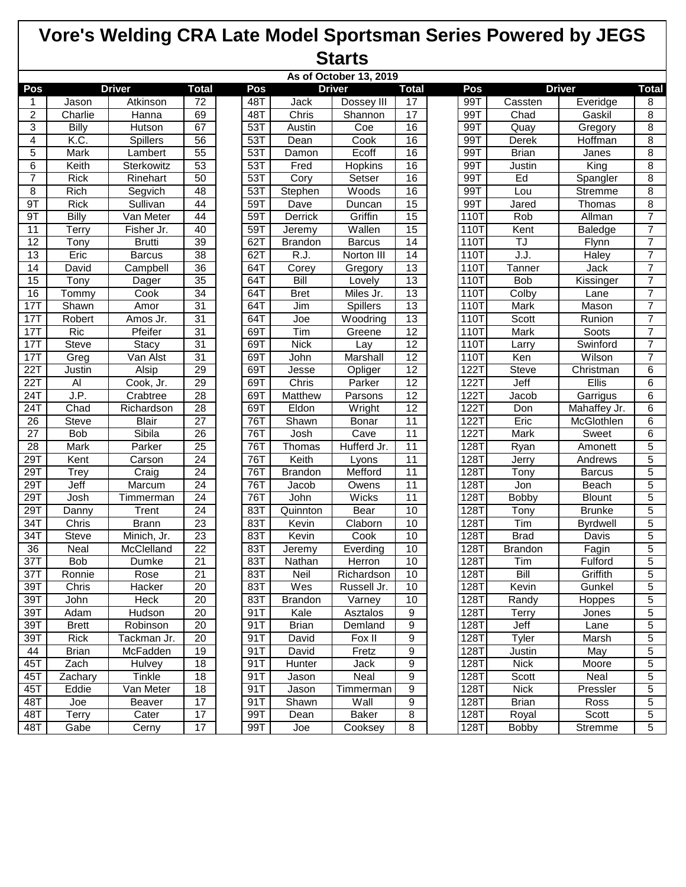|                  | As of October 13, 2019 |                 |                 |  |     |                |                 |                 |  |      |                |                     |                |
|------------------|------------------------|-----------------|-----------------|--|-----|----------------|-----------------|-----------------|--|------|----------------|---------------------|----------------|
| Pos              |                        | <b>Driver</b>   | <b>Total</b>    |  | Pos |                | <b>Driver</b>   | <b>Total</b>    |  | Pos  |                | <b>Driver</b>       | <b>Total</b>   |
| 1                | Jason                  | Atkinson        | 72              |  | 48T | Jack           | Dossey III      | 17              |  | 99T  | Cassten        | Everidge            | 8              |
| $\boldsymbol{2}$ | Charlie                | Hanna           | 69              |  | 48T | Chris          | Shannon         | 17              |  | 99T  | Chad           | Gaskil              | $\overline{8}$ |
| 3                | Billy                  | Hutson          | 67              |  | 53T | Austin         | Coe             | 16              |  | 99T  | Quay           | Gregory             | 8              |
| 4                | K.C.                   | <b>Spillers</b> | $\overline{56}$ |  | 53T | Dean           | Cook            | 16              |  | 99T  | Derek          | Hoffman             | 8              |
| 5                | Mark                   | Lambert         | $\overline{55}$ |  | 53T | Damon          | Ecoff           | 16              |  | 99T  | <b>Brian</b>   | Janes               | 8              |
| $\overline{6}$   | Keith                  | Sterkowitz      | 53              |  | 53T | Fred           | Hopkins         | 16              |  | 99T  | Justin         | King                | 8              |
| $\overline{7}$   | Rick                   | Rinehart        | 50              |  | 53T | Cory           | Setser          | 16              |  | 99T  | Ed             | Spangler            | 8              |
| 8                | Rich                   | Segvich         | 48              |  | 53T | Stephen        | Woods           | 16              |  | 99T  | Lou            | <b>Stremme</b>      | 8              |
| 9T               | <b>Rick</b>            | Sullivan        | 44              |  | 59T | Dave           | Duncan          | 15              |  | 99T  | Jared          | Thomas              | 8              |
| 9T               | Billy                  | Van Meter       | $\overline{44}$ |  | 59T | Derrick        | Griffin         | $\overline{15}$ |  | 110T | Rob            | Allman              | $\overline{7}$ |
| $\overline{11}$  | Terry                  | Fisher Jr.      | 40              |  | 59T | <b>Jeremy</b>  | Wallen          | 15              |  | 110T | Kent           | <b>Baledge</b>      | $\overline{7}$ |
| $\overline{12}$  | Tony                   | <b>Brutti</b>   | 39              |  | 62T | <b>Brandon</b> | <b>Barcus</b>   | 14              |  | 110T | TJ             | Flynn               | $\overline{7}$ |
| 13               | Eric                   | <b>Barcus</b>   | $\overline{38}$ |  | 62T | R.J.           | Norton III      | 14              |  | 110T | J.J.           | Haley               | $\overline{7}$ |
| $\overline{14}$  | David                  | Campbell        | 36              |  | 64T | Corey          | Gregory         | $\overline{13}$ |  | 110T | Tanner         | Jack                | 7              |
| 15               | Tony                   | Dager           | $\overline{35}$ |  | 64T | Bill           | Lovely          | 13              |  | 110T | <b>Bob</b>     | Kissinger           | $\overline{7}$ |
| 16               | Tommy                  | Cook            | 34              |  | 64T | <b>Bret</b>    | Miles Jr.       | 13              |  | 110T | Colby          | Lane                | $\overline{7}$ |
| 17T              | Shawn                  | Amor            | 31              |  | 64T | Jim            | Spillers        | 13              |  | 110T | Mark           | Mason               | $\overline{7}$ |
| 17T              | Robert                 | Amos Jr.        | 31              |  | 64T | Joe            | Woodring        | $\overline{13}$ |  | 110T | Scott          | Runion              | $\overline{7}$ |
| 17T              | Ric                    | Pfeifer         | 31              |  | 69T | Tim            | Greene          | $\overline{12}$ |  | 110T | Mark           | Soots               | 7              |
| 17T              | <b>Steve</b>           | <b>Stacy</b>    | 31              |  | 69T | <b>Nick</b>    | Lay             | $\overline{12}$ |  | 110T | Larry          | Swinford            | $\overline{7}$ |
| 17T              | Greg                   | Van Alst        | 31              |  | 69T | John           | <b>Marshall</b> | 12              |  | 110T | Ken            | Wilson              | $\overline{7}$ |
| 22T              | Justin                 | Alsip           | 29              |  | 69T | Jesse          | Opliger         | $\overline{12}$ |  | 122T | Steve          | Christman           | $\overline{6}$ |
| 22T              | Al                     | Cook, Jr.       | $\overline{29}$ |  | 69T | Chris          | Parker          | $\overline{12}$ |  | 122T | Jeff           | Ellis               | 6              |
| 24T              | J.P.                   | Crabtree        | 28              |  | 69T | <b>Matthew</b> | Parsons         | $\overline{12}$ |  | 122T | Jacob          | Garrigus            | 6              |
| 24T              | Chad                   | Richardson      | $\overline{28}$ |  | 69T | Eldon          | Wright          | 12              |  | 122T | Don            | Mahaffey Jr.        | 6              |
| 26               | <b>Steve</b>           | <b>Blair</b>    | $\overline{27}$ |  | 76T | Shawn          | Bonar           | $\overline{11}$ |  | 122T | Eric           | McGlothlen          | 6              |
| $\overline{27}$  | <b>Bob</b>             | Sibila          | $\overline{26}$ |  | 76T | Josh           | Cave            | 11              |  | 122T | Mark           | Sweet               | 6              |
| 28               | Mark                   | Parker          | $\overline{25}$ |  | 76T | Thomas         | Hufferd Jr.     | 11              |  | 128T | Ryan           | Amonett             | 5              |
| 29T              | Kent                   | Carson          | $\overline{24}$ |  | 76T | Keith          | Lyons           | $\overline{11}$ |  | 128T | Jerry          | Andrews             | 5              |
| 29T              | Trey                   | Craig           | $\overline{24}$ |  | 76T | <b>Brandon</b> | Mefford         | 11              |  | 128T | Tony           | <b>Barcus</b>       | 5              |
| 29T              | Jeff                   | Marcum          | $\overline{24}$ |  | 76T | <b>Jacob</b>   | Owens           | 11              |  | 128T | Jon            | Beach               | $\overline{5}$ |
| 29T              | Josh                   | Timmerman       | 24              |  | 76T | John           | <b>Wicks</b>    | $\overline{11}$ |  | 128T | Bobby          | <b>Blount</b>       | $\overline{5}$ |
| 29T              | Danny                  | Trent           | $\overline{24}$ |  | 83T | Quinnton       | Bear            | 10              |  | 128T | Tony           | <b>Brunke</b>       | 5              |
| 34T              | Chris                  | <b>Brann</b>    | 23              |  | 83T | Kevin          | Claborn         | 10              |  | 128T | Tim            | <b>Byrdwell</b>     | 5              |
| 34T              | Steve                  | Minich, Jr.     | $\overline{23}$ |  | 83T | Kevin          | Cook            | 10              |  | 128T | <b>Brad</b>    | Davis               | 5              |
| 36               | Neal                   | McClelland      | $\overline{22}$ |  | 83T | Jeremy         | Everding        | 10              |  | 128T | <b>Brandon</b> | $\overline{Fag}$ in | 5              |
| 37T              | <b>Bob</b>             | Dumke           | 21              |  | 83T | Nathan         | Herron          | 10              |  | 128T | Tim            | Fulford             | $\overline{5}$ |
| 37T              | Ronnie                 | Rose            | $\overline{21}$ |  | 83T | Neil           | Richardson      | 10              |  | 128T | Bill           | Griffith            | $\overline{5}$ |
| 39T              | Chris                  | Hacker          | 20              |  | 83T | Wes            | Russell Jr.     | 10              |  | 128T | Kevin          | Gunkel              | 5              |
| 39T              | John                   | Heck            | 20              |  | 83T | <b>Brandon</b> | Varney          | 10              |  | 128T | Randy          | Hoppes              | 5              |
| 39T              | Adam                   | Hudson          | $\overline{20}$ |  | 91T | Kale           | Asztalos        | $\overline{9}$  |  | 128T | Terry          | Jones               | 5              |
| 39T              | <b>Brett</b>           | Robinson        | 20              |  | 91T | <b>Brian</b>   | Demland         | $\overline{9}$  |  | 128T | Jeff           | Lane                | 5              |
| 39T              | Rick                   | Tackman Jr.     | $\overline{20}$ |  | 91T | David          | Fox II          | $\overline{9}$  |  | 128T | Tyler          | Marsh               | 5              |
| 44               | <b>Brian</b>           | McFadden        | 19              |  | 91T | David          | Fretz           | $9\,$           |  | 128T | Justin         | May                 | 5              |
| 45T              | Zach                   | <b>Hulvey</b>   | 18              |  | 91T | Hunter         | Jack            | 9               |  | 128T | <b>Nick</b>    | Moore               | 5              |
| 45T              | Zachary                | <b>Tinkle</b>   | $\overline{18}$ |  | 91T | Jason          | Neal            | $\overline{9}$  |  | 128T | Scott          | Neal                | 5              |
| 45T              | Eddie                  | Van Meter       | 18              |  | 91T | Jason          | Timmerman       | $9\,$           |  | 128T | <b>Nick</b>    | Pressler            | $\overline{5}$ |
| 48T              | Joe                    | Beaver          | $\overline{17}$ |  | 91T | Shawn          | Wall            | $\overline{9}$  |  | 128T | <b>Brian</b>   | Ross                | 5              |
| 48T              | <b>Terry</b>           | Cater           | 17              |  | 99T | Dean           | <b>Baker</b>    | 8               |  | 128T | Royal          | Scott               | 5              |
| 48T              | Gabe                   | Cerny           | $\overline{17}$ |  | 99T | Joe            | Cooksey         | 8               |  | 128T | <b>Bobby</b>   | Stremme             | 5              |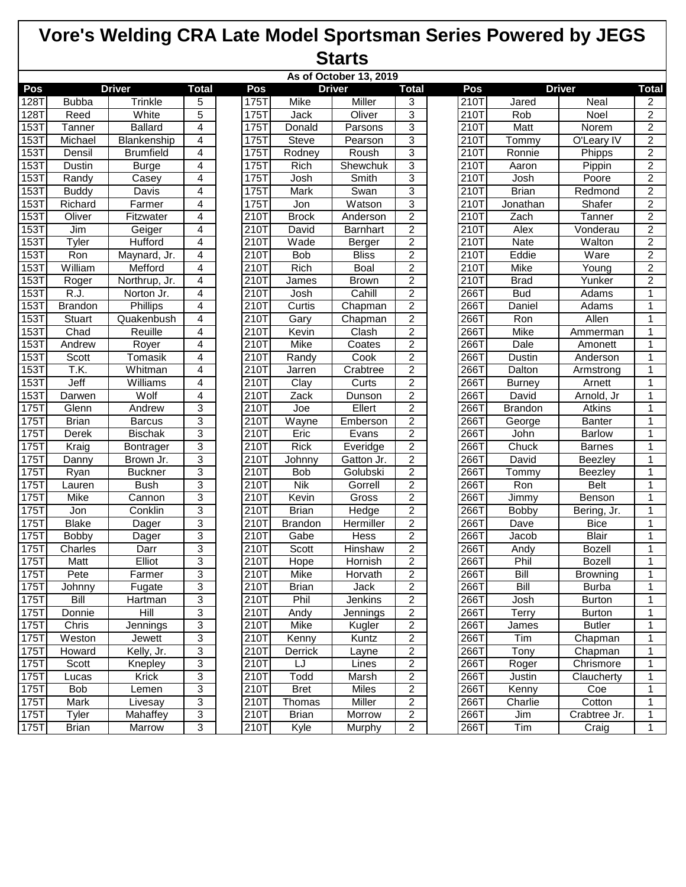|         | As of October 13, 2019 |                  |                           |  |      |                |                |                         |  |      |                |                 |                |
|---------|------------------------|------------------|---------------------------|--|------|----------------|----------------|-------------------------|--|------|----------------|-----------------|----------------|
| Pos     | <b>Driver</b>          |                  | <b>Total</b>              |  | Pos  |                | <b>Driver</b>  | <b>Total</b>            |  | Pos  |                | <b>Driver</b>   | <b>Total</b>   |
| 128T    | <b>Bubba</b>           | Trinkle          | 5                         |  | 175T | Mike           | Miller         | 3                       |  | 210T | Jared          | Neal            | $\overline{2}$ |
| 128T    | Reed                   | White            | 5                         |  | 175T | Jack           | Oliver         | 3                       |  | 210T | Rob            | Noel            | $\overline{2}$ |
| 153T    | Tanner                 | <b>Ballard</b>   | 4                         |  | 175T | Donald         | Parsons        | 3                       |  | 210T | Matt           | Norem           | $\overline{2}$ |
| 153T    | Michael                | Blankenship      | 4                         |  | 175T | Steve          | Pearson        | 3                       |  | 210T | Tommy          | O'Leary IV      | $\overline{2}$ |
| 153T    | Densil                 | <b>Brumfield</b> | 4                         |  | 175T | Rodney         | Roush          | 3                       |  | 210T | Ronnie         | Phipps          | $\overline{2}$ |
| 153T    | Dustin                 | <b>Burge</b>     | $\overline{4}$            |  | 175T | <b>Rich</b>    | Shewchuk       | $\overline{3}$          |  | 210T | Aaron          | Pippin          | $\overline{2}$ |
| 153T    | Randy                  | Casey            | 4                         |  | 175T | Josh           | Smith          | 3                       |  | 210T | Josh           | Poore           | $\overline{2}$ |
| 153T    | <b>Buddy</b>           | Davis            | 4                         |  | 175T | <b>Mark</b>    | Swan           | $\overline{3}$          |  | 210T | <b>Brian</b>   | Redmond         | $\overline{2}$ |
| 153T    | Richard                | Farmer           | 4                         |  | 175T | Jon            | Watson         | $\overline{3}$          |  | 210T | Jonathan       | Shafer          | $\overline{2}$ |
| 153T    | Oliver                 | Fitzwater        | 4                         |  | 210T | <b>Brock</b>   | Anderson       | $\overline{2}$          |  | 210T | Zach           | Tanner          | $\overline{2}$ |
| 153T    | Jim                    | Geiger           | 4                         |  | 210T | David          | Barnhart       | $\overline{2}$          |  | 210T | Alex           | Vonderau        | $\overline{2}$ |
| 153T    | Tyler                  | Hufford          | 4                         |  | 210T | Wade           | Berger         | $\overline{c}$          |  | 210T | Nate           | Walton          | $\overline{2}$ |
| 153T    | Ron                    | Maynard, Jr.     | $\overline{4}$            |  | 210T | <b>Bob</b>     | <b>Bliss</b>   | $\overline{2}$          |  | 210T | Eddie          | Ware            | $\overline{2}$ |
| 153T    | William                | Mefford          | $\overline{4}$            |  | 210T | Rich           | Boal           | $\overline{2}$          |  | 210T | Mike           | Young           | $\overline{2}$ |
| 153T    | Roger                  | Northrup, Jr.    | 4                         |  | 210T | James          | <b>Brown</b>   | $\overline{c}$          |  | 210T | <b>Brad</b>    | Yunker          | $\overline{2}$ |
| 153T    | R.J.                   | Norton Jr.       | 4                         |  | 210T | Josh           | Cahill         | $\overline{2}$          |  | 266T | <b>Bud</b>     | Adams           | 1              |
| 153T    | <b>Brandon</b>         | Phillips         | 4                         |  | 210T | Curtis         | Chapman        | $\overline{c}$          |  | 266T | Daniel         | Adams           | 1              |
| 153T    | Stuart                 | Quakenbush       | 4                         |  | 210T | Gary           | Chapman        | $\overline{2}$          |  | 266T | Ron            | Allen           | 1              |
| 153T    | Chad                   | Reuille          | $\overline{4}$            |  | 210T | Kevin          | Clash          | $\overline{2}$          |  | 266T | Mike           | Ammerman        | 1              |
| 153T    | Andrew                 | Royer            | 4                         |  | 210T | Mike           | Coates         | $\overline{2}$          |  | 266T | Dale           | Amonett         | 1              |
| 153T    | Scott                  | <b>Tomasik</b>   | $\overline{4}$            |  | 210T | Randy          | Cook           | $\overline{2}$          |  | 266T | <b>Dustin</b>  | Anderson        | 1              |
| 153T    | T.K.                   | Whitman          | 4                         |  | 210T | <b>Jarren</b>  | Crabtree       | $\overline{2}$          |  | 266T | Dalton         | Armstrong       | 1              |
| 153T    | Jeff                   | Williams         | $\overline{4}$            |  | 210T | Clay           | Curts          | $\overline{2}$          |  | 266T | <b>Burney</b>  | Arnett          | $\mathbf{1}$   |
| 153T    | Darwen                 | Wolf             | $\overline{4}$            |  | 210T | Zack           | Dunson         | $\overline{2}$          |  | 266T | David          | Arnold, Jr      | 1              |
| 175T    | Glenn                  | Andrew           | 3                         |  | 210T | Joe            | Ellert         | $\overline{2}$          |  | 266T | <b>Brandon</b> | Atkins          | 1              |
| $175$ T | <b>Brian</b>           | <b>Barcus</b>    | 3                         |  | 210T | Wayne          | Emberson       | $\overline{2}$          |  | 266T | George         | <b>Banter</b>   | 1              |
| 175T    | Derek                  | <b>Bischak</b>   | 3                         |  | 210T | Eric           | Evans          | $\overline{2}$          |  | 266T | John           | <b>Barlow</b>   | 1              |
| 175T    | Kraig                  | Bontrager        | 3                         |  | 210T | <b>Rick</b>    | Everidge       | $\overline{2}$          |  | 266T | Chuck          | <b>Barnes</b>   | 1              |
| 175     | Danny                  | Brown Jr.        | 3                         |  | 210T | Johnny         | Gatton Jr.     | $\overline{2}$          |  | 266T | David          | Beezley         | 1              |
| 175T    | Ryan                   | <b>Buckner</b>   | 3                         |  | 210T | <b>Bob</b>     | Golubski       | $\overline{2}$          |  | 266T | Tommy          | Beezley         | 1              |
| 175T    | Lauren                 | <b>Bush</b>      | 3                         |  | 210T | <b>Nik</b>     | Gorrell        | $\overline{2}$          |  | 266T | Ron            | <b>Belt</b>     | 1              |
| 175T    | Mike                   | Cannon           | $\ensuremath{\mathsf{3}}$ |  | 210T | Kevin          | Gross          | $\overline{2}$          |  | 266T | Jimmy          | Benson          | $\mathbf{1}$   |
| 175T    | Jon                    | Conklin          | 3                         |  | 210T | <b>Brian</b>   | Hedge          | $\overline{2}$          |  | 266T | <b>Bobby</b>   | Bering, Jr.     | 1              |
| 175T    | <b>Blake</b>           | Dager            | 3                         |  | 210T | <b>Brandon</b> | Hermiller      | $\overline{c}$          |  | 266T | Dave           | <b>Bice</b>     | 1              |
| 175T    | <b>Bobby</b>           | <b>Dager</b>     | $\ensuremath{\mathsf{3}}$ |  | 210T | Gabe           | Hess           | $\overline{c}$          |  | 266T | Jacob          | <b>Blair</b>    | 1              |
| $175$ T | Charles                | Darr             | 3                         |  | 210T | Scott          | <b>Hinshaw</b> | $\overline{2}$          |  | 266T | Andy           | <b>Bozell</b>   | 1              |
| 175T    | Matt                   | Elliot           | $\overline{3}$            |  | 210T | Hope           | Hornish        | $\overline{2}$          |  | 266T | Phil           | <b>Bozell</b>   | 1              |
| 1/5     | Pete                   | Farmer           | 3                         |  | 210T | Mike           | Horvath        | 2                       |  | 266T | BIII           | <b>Browning</b> | 1              |
| 175T    | Johnny                 | Fugate           | 3                         |  | 210T | <b>Brian</b>   | Jack           | $\overline{c}$          |  | 266T | Bill           | <b>Burba</b>    | 1              |
| 175T    | Bill                   | Hartman          | 3                         |  | 210T | Phil           | Jenkins        | $\overline{c}$          |  | 266T | Josh           | <b>Burton</b>   | 1              |
| 175T    | Donnie                 | Hill             | 3                         |  | 210T | Andy           | Jennings       | $\overline{2}$          |  | 266T | Terry          | <b>Burton</b>   | 1              |
| 175T    | Chris                  | Jennings         | $\overline{3}$            |  | 210T | Mike           | Kugler         | $\overline{2}$          |  | 266T | James          | <b>Butler</b>   | 1              |
| 175T    | Weston                 | Jewett           | 3                         |  | 210T | Kenny          | Kuntz          | $\overline{2}$          |  | 266T | Tim            | Chapman         | 1              |
| 175T    | Howard                 | Kelly, Jr.       | $\ensuremath{\mathsf{3}}$ |  | 210T | Derrick        | Layne          | $\overline{c}$          |  | 266T | Tony           | Chapman         | 1              |
| 175T    | Scott                  | Knepley          | 3                         |  | 210T | LJ             | Lines          | $\overline{c}$          |  | 266T | Roger          | Chrismore       | 1              |
| 175T    | Lucas                  | Krick            | 3                         |  | 210T | Todd           | Marsh          | $\overline{2}$          |  | 266T | Justin         | Claucherty      | 1              |
| 175T    | <b>Bob</b>             | Lemen            | 3                         |  | 210T | <b>Bret</b>    | Miles          | $\overline{a}$          |  | 266T | Kenny          | Coe             | 1              |
| 175T    | Mark                   | Livesay          | 3                         |  | 210T | Thomas         | <b>Miller</b>  | $\overline{2}$          |  | 266T | Charlie        | Cotton          | 1              |
| 175T    | Tyler                  | Mahaffey         | 3                         |  | 210T | <b>Brian</b>   | Morrow         | $\overline{\mathbf{c}}$ |  | 266T | Jim            | Crabtree Jr.    | 1              |
| 175T    | <b>Brian</b>           | Marrow           | $\overline{3}$            |  | 210T | Kyle           | Murphy         | $\overline{c}$          |  | 266T | Tim            | Craig           | 1              |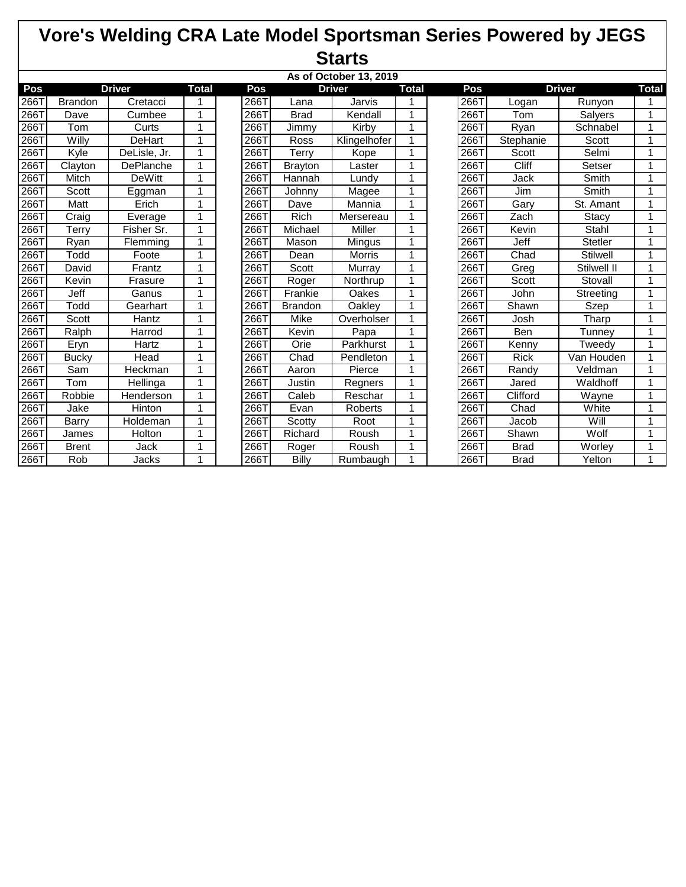|                    | As of October 13, 2019 |                  |             |  |      |                |               |              |  |      |             |                 |              |
|--------------------|------------------------|------------------|-------------|--|------|----------------|---------------|--------------|--|------|-------------|-----------------|--------------|
| Pos                |                        | <b>Driver</b>    | Total       |  | Pos  |                | <b>Driver</b> | <b>Total</b> |  | Pos  |             | <b>Driver</b>   | <b>Total</b> |
| 2667               | <b>Brandon</b>         | Cretacci         |             |  | 266T | Lana           | Jarvis        |              |  | 266T | Logan       | Runyon          |              |
| 266T               | Dave                   | Cumbee           | 1           |  | 266T | <b>Brad</b>    | Kendall       | 1            |  | 266T | Tom         | Salyers         |              |
| 266T               | Tom                    | Curts            | 1           |  | 266T | Jimmy          | Kirby         | 1            |  | 266T | Ryan        | Schnabel        | 1            |
| $\overline{266}$ T | Willy                  | <b>DeHart</b>    | 1           |  | 266T | <b>Ross</b>    | Klingelhofer  | 1            |  | 266T | Stephanie   | Scott           | 4            |
| 266T               | Kyle                   | DeLisle, Jr.     | 1           |  | 266T | Terry          | Kope          | 1            |  | 266T | Scott       | Selmi           | 1            |
| 266T               | Clayton                | <b>DePlanche</b> | $\mathbf 1$ |  | 266T | <b>Brayton</b> | Laster        | 1            |  | 266T | Cliff       | Setser          | 1            |
| 266T               | Mitch                  | <b>DeWitt</b>    | 1           |  | 266T | Hannah         | Lundv         | 1            |  | 266T | Jack        | Smith           | 1            |
| 266T               | Scott                  | Eggman           | 1           |  | 266T | Johnny         | Magee         | 1            |  | 266T | Jim         | Smith           | 1            |
| 266T               | Matt                   | Erich            | 1           |  | 266T | Dave           | Mannia        | 1            |  | 266T | Gary        | St. Amant       | 1            |
| 266T               | Craig                  | Everage          | 1           |  | 266T | Rich           | Mersereau     | 1            |  | 266T | Zach        | <b>Stacy</b>    | 1            |
| 266T               | Terry                  | Fisher Sr.       | $\mathbf 1$ |  | 266T | Michael        | <b>Miller</b> | 1            |  | 266T | Kevin       | Stahl           | 1            |
| 266T               | Ryan                   | Flemming         |             |  | 266T | Mason          | Mingus        |              |  | 266T | <b>Jeff</b> | <b>Stetler</b>  |              |
| 266T               | Todd                   | Foote            | 1           |  | 266T | Dean           | <b>Morris</b> | 1            |  | 266T | Chad        | <b>Stilwell</b> | 1            |
| 266T               | David                  | Frantz           | 1           |  | 266T | Scott          | Murray        | 1            |  | 266T | Greg        | Stilwell II     | 1            |
| 266T               | Kevin                  | Frasure          | 1           |  | 266T | Roger          | Northrup      | 1            |  | 266T | Scott       | Stovall         | 1            |
| 2661               | Jeff                   | Ganus            | $\mathbf 1$ |  | 266T | Frankie        | Oakes         | 1            |  | 266T | John        | Streeting       | 1            |
| 266T               | Todd                   | Gearhart         |             |  | 266T | <b>Brandon</b> | Oakley        |              |  | 266T | Shawn       | Szep            |              |
| 266T               | Scott                  | Hantz            | 1           |  | 266T | Mike           | Overholser    | 1            |  | 266T | Josh        | Tharp           | 1            |
| 266T               | Ralph                  | Harrod           | $\mathbf 1$ |  | 266T | Kevin          | Papa          | 1            |  | 266T | Ben         | Tunney          | 1            |
| 266T               | Eryn                   | Hartz            | 1           |  | 266T | Orie           | Parkhurst     | 1            |  | 266T | Kenny       | Tweedy          | 1            |
| 2661               | <b>Bucky</b>           | Head             | 1           |  | 266T | Chad           | Pendleton     | 1            |  | 266T | <b>Rick</b> | Van Houden      | 1            |
| 266T               | Sam                    | Heckman          |             |  | 266T | Aaron          | Pierce        |              |  | 266T | Randy       | Veldman         |              |
| 266T               | Tom                    | Hellinga         | 1           |  | 266T | Justin         | Regners       | 1            |  | 266T | Jared       | Waldhoff        | 1            |
| 266T               | Robbie                 | Henderson        | 1           |  | 266T | Caleb          | Reschar       | 1            |  | 266T | Clifford    | Wayne           | 1            |
| 266T               | Jake                   | <b>Hinton</b>    | 1           |  | 266T | Evan           | Roberts       | 1            |  | 266T | Chad        | White           | 1            |
| 266T               | Barry                  | Holdeman         | 1           |  | 266T | Scotty         | Root          | 1            |  | 266T | Jacob       | Will            | 1            |
| 266T               | James                  | Holton           |             |  | 266T | Richard        | Roush         |              |  | 266T | Shawn       | Wolf            |              |
| 266T               | <b>Brent</b>           | Jack             | 1           |  | 266T | Roger          | Roush         | 1            |  | 266T | <b>Brad</b> | Worley          | 1            |
| 266T               | Rob                    | Jacks            | 1           |  | 266T | <b>Billy</b>   | Rumbaugh      |              |  | 266T | <b>Brad</b> | Yelton          | 1            |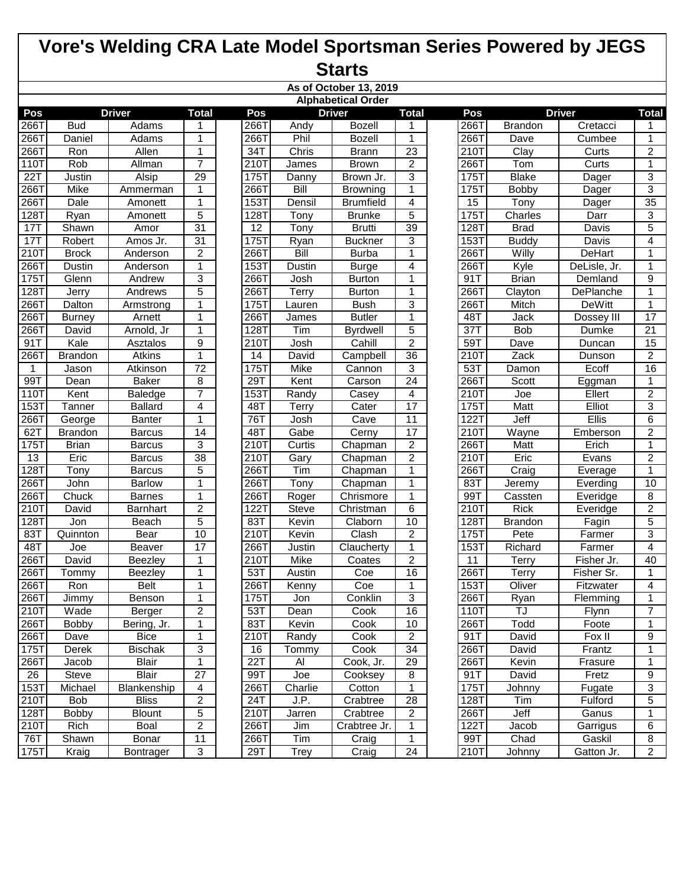|                    | As of October 13, 2019 |                |                 |  |      |              |                           |                 |  |      |                |               |                 |
|--------------------|------------------------|----------------|-----------------|--|------|--------------|---------------------------|-----------------|--|------|----------------|---------------|-----------------|
|                    |                        |                |                 |  |      |              | <b>Alphabetical Order</b> |                 |  |      |                |               |                 |
| Pos                |                        | <b>Driver</b>  | <b>Total</b>    |  | Pos  |              | <b>Driver</b>             | <b>Total</b>    |  | Pos  |                | <b>Driver</b> | <b>Total</b>    |
| 266T               | <b>Bud</b>             | Adams          | 1               |  | 266T | Andy         | <b>Bozell</b>             | 1               |  | 266T | <b>Brandon</b> | Cretacci      | 1               |
| 266T               | Daniel                 | Adams          | 1               |  | 266T | Phil         | <b>Bozell</b>             | 1               |  | 266T | Dave           | Cumbee        | 1               |
| 266T               | Ron                    | Allen          | $\mathbf{1}$    |  | 34T  | Chris        | <b>Brann</b>              | $\overline{23}$ |  | 210T | Clay           | Curts         | $\overline{2}$  |
| 110T               | Rob                    | Allman         | $\overline{7}$  |  | 210T | <b>James</b> | <b>Brown</b>              | $\overline{2}$  |  | 266T | Tom            | Curts         | $\mathbf{1}$    |
| 22T                | Justin                 | Alsip          | 29              |  | 175T | Danny        | Brown Jr.                 | 3               |  | 175T | <b>Blake</b>   | Dager         | 3               |
| 266T               | <b>Mike</b>            | Ammerman       | 1               |  | 266T | <b>Bill</b>  | <b>Browning</b>           | 1               |  | 175T | <b>Bobby</b>   | Dager         | $\overline{3}$  |
| 266T               | Dale                   | Amonett        | 1               |  | 153T | Densil       | <b>Brumfield</b>          | 4               |  | 15   | Tony           | Dager         | $\overline{35}$ |
| $\overline{128}$ T | Ryan                   | Amonett        | 5               |  | 128T | Tony         | <b>Brunke</b>             | $\overline{5}$  |  | 175T | Charles        | Darr          | $\overline{3}$  |
| 17T                | Shawn                  | Amor           | 31              |  | 12   | Tony         | <b>Brutti</b>             | 39              |  | 128T | <b>Brad</b>    | <b>Davis</b>  | $\overline{5}$  |
| 17T                | Robert                 | Amos Jr.       | $\overline{31}$ |  | 175T | Ryan         | <b>Buckner</b>            | 3               |  | 153T | <b>Buddy</b>   | Davis         | 4               |
| $\overline{2101}$  | <b>Brock</b>           | Anderson       | $\overline{2}$  |  | 266T | <b>Bill</b>  | <b>Burba</b>              | $\mathbf{1}$    |  | 266T | Willy          | DeHart        | 1               |
| 266T               | Dustin                 | Anderson       | $\mathbf{1}$    |  | 153T | Dustin       | <b>Burge</b>              | 4               |  | 266T | Kyle           | DeLisle, Jr.  | 1               |
| $175$ T            | Glenn                  | Andrew         | 3               |  | 266T | Josh         | <b>Burton</b>             | $\mathbf{1}$    |  | 91T  | <b>Brian</b>   | Demland       | 9               |
| 128T               | <b>Jerry</b>           | Andrews        | 5               |  | 266T | Terry        | <b>Burton</b>             | 1               |  | 266T | Clayton        | DePlanche     | $\mathbf{1}$    |
| 266T               | Dalton                 | Armstrong      | 1               |  | 175T | Lauren       | <b>Bush</b>               | 3               |  | 266T | Mitch          | <b>DeWitt</b> | 1               |
| 266T               | <b>Burney</b>          | Arnett         | 1               |  | 266T | James        | <b>Butler</b>             | 1               |  | 48T  | Jack           | Dossey III    | 17              |
| 266T               | David                  | Arnold, Jr     | 1               |  | 128T | Tim          | <b>Byrdwell</b>           | 5               |  | 37T  | <b>Bob</b>     | Dumke         | 21              |
| 91T                | Kale                   | Asztalos       | 9               |  | 210T | Josh         | Cahill                    | $\overline{2}$  |  | 59T  | Dave           | Duncan        | 15              |
| 266T               | <b>Brandon</b>         | Atkins         | $\mathbf{1}$    |  | 14   | David        | Campbell                  | $\overline{36}$ |  | 210T | Zack           | Dunson        | $\overline{2}$  |
| $\mathbf{1}$       | Jason                  | Atkinson       | $\overline{72}$ |  | 175T | Mike         | Cannon                    | 3               |  | 53T  | Damon          | Ecoff         | 16              |
| 99T                | Dean                   | <b>Baker</b>   | $\overline{8}$  |  | 29T  | Kent         | Carson                    | $\overline{24}$ |  | 266T | Scott          | Eggman        | $\mathbf{1}$    |
| 110T               | Kent                   | Baledge        | $\overline{7}$  |  | 153T | Randy        | Casey                     | 4               |  | 210T | Joe            | Ellert        | $\overline{2}$  |
| 153T               | Tanner                 | <b>Ballard</b> | 4               |  | 48T  | Terry        | Cater                     | 17              |  | 175T | <b>Matt</b>    | Elliot        | $\overline{3}$  |
| 266T               | George                 | <b>Banter</b>  | 1               |  | 76T  | Josh         | Cave                      | $\overline{11}$ |  | 122T | Jeff           | <b>Ellis</b>  | $\overline{6}$  |
| 62T                | <b>Brandon</b>         | <b>Barcus</b>  | 14              |  | 48T  | Gabe         | Cerny                     | 17              |  | 210T | Wayne          | Emberson      | $\overline{2}$  |
| 175T               | <b>Brian</b>           | <b>Barcus</b>  | 3               |  | 210T | Curtis       | Chapman                   | $\overline{2}$  |  | 266T | Matt           | Erich         | 1               |
| 13                 | Eric                   | <b>Barcus</b>  | 38              |  | 210T | Gary         | Chapman                   | $\overline{c}$  |  | 210T | Eric           | Evans         | $\overline{2}$  |
| 128T               | Tony                   | <b>Barcus</b>  | 5               |  | 266T | Tim          | Chapman                   | $\mathbf{1}$    |  | 266T | Craig          | Everage       | 1               |
| 266T               | John                   | Barlow         | 1               |  | 266T | Tony         | Chapman                   | $\mathbf{1}$    |  | 83T  | Jeremy         | Everding      | 10              |
| 266T               | Chuck                  | <b>Barnes</b>  | 1               |  | 266T | Roger        | Chrismore                 | $\mathbf{1}$    |  | 99T  | Cassten        | Everidge      | 8               |
| 210T               | David                  | Barnhart       | $\overline{2}$  |  | 122T | <b>Steve</b> | Christman                 | 6               |  | 210T | <b>Rick</b>    | Everidge      | $\overline{2}$  |
| 128T               | Jon                    | Beach          | 5               |  | 83T  | Kevin        | Claborn                   | 10              |  | 128T | <b>Brandon</b> | Fagin         | 5               |
| 83T                | Quinnton               | Bear           | 10              |  | 210T | Kevin        | Clash                     | $\overline{2}$  |  | 175T | Pete           | Farmer        | 3               |
| 48T                | Joe                    | Beaver         | 17              |  | 266T | Justin       | Claucherty                | 1               |  | 153T | Richard        | Farmer        | $\overline{4}$  |
| 266T               | David                  | <b>Beezley</b> | 1               |  | 210T | Mike         | Coates                    | $\overline{c}$  |  | 11   | Terry          | Fisher Jr.    | 40              |
| 266T               | Tommy                  | <b>Beezley</b> | $\mathbf{1}$    |  | 53T  | Austin       | Coe                       | 16              |  | 266T | Terry          | Fisher Sr.    | 1               |
| 266T               | Ron                    | Belt           | 1               |  | 266T | Kenny        | Coe                       | 1               |  | 153T | Oliver         | Fitzwater     | 4               |
| 266T               | Jimmy                  | Benson         | 1               |  | 175T | Jon          | Conklin                   | $\overline{3}$  |  | 266T | Ryan           | Flemming      | 1               |
| 210T               | Wade                   | Berger         | $\overline{c}$  |  | 53T  | Dean         | Cook                      | 16              |  | 110T | TJ             | Flynn         | 7               |
| 266T               | <b>Bobby</b>           | Bering, Jr.    | $\mathbf 1$     |  | 83T  | Kevin        | Cook                      | 10              |  | 266T | Todd           | Foote         | 1               |
| 266T               | Dave                   | <b>Bice</b>    | $\mathbf 1$     |  | 210T | Randy        | Cook                      | $\overline{2}$  |  | 91T  | David          | Fox II        | 9               |
| 175T               | Derek                  | <b>Bischak</b> | $\overline{3}$  |  | 16   | Tommy        | Cook                      | 34              |  | 266T | David          | Frantz        | 1               |
| 266T               | Jacob                  | <b>Blair</b>   | $\mathbf{1}$    |  | 22T  | Al           | Cook, Jr.                 | $\overline{29}$ |  | 266T | Kevin          | Frasure       | 1               |
| 26                 | Steve                  | <b>Blair</b>   | 27              |  | 99T  | Joe          | Cooksey                   | 8               |  | 91T  | David          | Fretz         | $9\,$           |
| 153T               | Michael                | Blankenship    | $\overline{4}$  |  | 266T | Charlie      | Cotton                    | 1               |  | 175T | Johnny         | Fugate        | 3               |
| 210T               | <b>Bob</b>             | <b>Bliss</b>   | 2               |  | 24T  | J.P.         | Crabtree                  | $\overline{28}$ |  | 128T | Tim            | Fulford       | 5               |
| 128T               | Bobby                  | <b>Blount</b>  | 5               |  | 210T | Jarren       | Crabtree                  | $\overline{2}$  |  | 266T | Jeff           | Ganus         | 1               |
| 210T               | Rich                   | Boal           | $\overline{c}$  |  | 266T | Jim          | Crabtree Jr.              | 1               |  | 122T | <b>Jacob</b>   | Garrigus      | 6               |
| 76T                | Shawn                  | Bonar          | 11              |  | 266T | Tim          | Craig                     | 1               |  | 99T  | Chad           | Gaskil        | 8               |
| 175T               | Kraig                  | Bontrager      | $\sqrt{3}$      |  | 29T  | <b>Trey</b>  | Craig                     | 24              |  | 210T | Johnny         | Gatton Jr.    | $\overline{2}$  |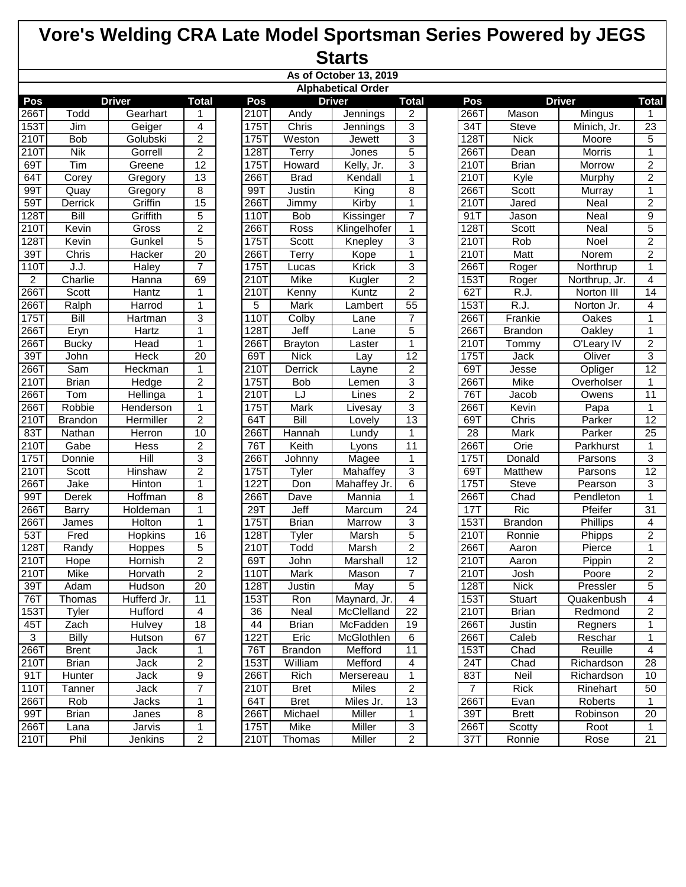|                  |                |                 |                 |      |                | As of October 13, 2019    |                 |                |                   |               |                 |
|------------------|----------------|-----------------|-----------------|------|----------------|---------------------------|-----------------|----------------|-------------------|---------------|-----------------|
|                  |                |                 |                 |      |                | <b>Alphabetical Order</b> |                 |                |                   |               |                 |
| Pos              |                | <b>Driver</b>   | <b>Total</b>    | Pos  |                | <b>Driver</b>             | <b>Total</b>    | Pos            |                   | <b>Driver</b> | <b>Total</b>    |
| 266T             | Todd           | Gearhart        | 1               | 210T | Andy           | Jennings                  | 2               | 266T           | Mason             | Mingus        | 1               |
| 153T             | Jim            | Geiger          | 4               | 175T | Chris          | Jennings                  | 3               | 34T            | Steve             | Minich, Jr.   | 23              |
| 210T             | <b>Bob</b>     | Golubski        | $\overline{2}$  | 175T | Weston         | Jewett                    | $\overline{3}$  | 128T           | <b>Nick</b>       | Moore         | 5               |
| $\overline{210}$ | <b>Nik</b>     | Gorrell         | $\overline{2}$  | 128T | Terry          | Jones                     | $\overline{5}$  | 266T           | Dean              | Morris        | 1               |
| 69T              | Tim            | Greene          | 12              | 175T | Howard         | Kelly, Jr.                | $\overline{3}$  | 210T           | <b>Brian</b>      | Morrow        | $\overline{2}$  |
| 64T              | Corey          | Gregory         | $\overline{13}$ | 266T | <b>Brad</b>    | Kendall                   | $\mathbf{1}$    | 210T           | Kyle              | Murphy        | $\overline{2}$  |
| 99T              | Quay           | Gregory         | 8               | 99T  | Justin         | King                      | 8               | 266T           | Scott             | Murray        | 1               |
| 59T              | Derrick        | Griffin         | 15              | 266T | Jimmy          | Kirby                     | $\mathbf{1}$    | 210T           | Jared             | Neal          | $\overline{2}$  |
| 1287             | Bill           | Griffith        | 5               | 110T | <b>Bob</b>     | Kissinger                 | 7               | 91T            | Jason             | Neal          | 9               |
| 2101             | Kevin          | Gross           | 2               | 266T | Ross           | Klingelhofer              | 1               | 128T           | Scott             | Neal          | 5               |
| 128T             | Kevin          | Gunkel          | 5               | 175T | Scott          | Knepley                   | 3               | 210T           | Rob               | Noel          | $\overline{2}$  |
| 39T              | Chris          | Hacker          | 20              | 266T | Terry          | Kope                      | $\mathbf{1}$    | 210T           | Matt              | Norem         | $\overline{2}$  |
| 110T             | J.J.           | Haley           | 7               | 175T | Lucas          | Krick                     | 3               | 266T           | Roger             | Northrup      | $\mathbf 1$     |
| $\overline{c}$   | Charlie        | Hanna           | 69              | 210T | Mike           | Kugler                    | $\overline{2}$  | 153T           | Roger             | Northrup, Jr. | 4               |
| 2661             | Scott          | Hantz           | 1               | 210T | Kenny          | Kuntz                     | $\overline{2}$  | 62T            | R.J.              | Norton III    | 14              |
| 266T             | Ralph          | Harrod          | 1               | 5    | Mark           | Lambert                   | $\overline{55}$ | 153T           | $\overline{R.J.}$ | Norton Jr.    | 4               |
| 1757             | Bill           | Hartman         | 3               | 110T | Colby          | Lane                      | $\overline{7}$  | 266T           | Frankie           | Oakes         | $\mathbf{1}$    |
| 266T             | Eryn           | Hartz           | $\mathbf{1}$    | 128T | Jeff           | Lane                      | $\overline{5}$  | 266T           | <b>Brandon</b>    | Oakley        | $\mathbf{1}$    |
| 2667             | <b>Bucky</b>   | Head            | $\mathbf{1}$    | 266T | <b>Brayton</b> | Laster                    | $\mathbf{1}$    | 210T           | Tommy             | O'Leary IV    | $\overline{2}$  |
| 39T              | John           | Heck            | $\overline{20}$ | 69T  | <b>Nick</b>    | Lay                       | 12              | 175T           | Jack              | Oliver        | 3               |
| 2667             | Sam            | <b>Heckman</b>  | 1               | 210T | <b>Derrick</b> | Layne                     | $\overline{c}$  | 69T            | Jesse             | Opliger       | $\overline{12}$ |
| 2101             | <b>Brian</b>   | <b>Hedge</b>    | 2               | 175T | <b>Bob</b>     | Lemen                     | 3               | 266T           | <b>Mike</b>       | Overholser    | 1               |
| 266T             | Tom            | Hellinga        | 1               | 210T | LJ             | Lines                     | $\overline{2}$  | 76T            | Jacob             | Owens         | 11              |
| 266T             | Robbie         | Henderson       | 1               | 175T | Mark           | Livesay                   | 3               | 266T           | Kevin             | Papa          | 1               |
| 2101             | <b>Brandon</b> | Hermiller       | $\overline{2}$  | 64T  | Bill           | Lovely                    | 13              | 69T            | Chris             | Parker        | 12              |
| 83T              | Nathan         | Herron          | 10              | 266T | Hannah         | Lundy                     | 1               | 28             | Mark              | Parker        | 25              |
| 2101             | Gabe           | Hess            | $\overline{2}$  | 76T  | Keith          | Lyons                     | 11              | 266T           | Orie              | Parkhurst     | 1               |
| $175$ T          | Donnie         | Hill            | 3               | 266T | Johnny         | Magee                     | $\mathbf{1}$    | 175T           | Donald            | Parsons       | $\overline{3}$  |
| $210$ T          | Scott          | Hinshaw         | $\overline{2}$  | 175T | Tyler          | Mahaffey                  | 3               | 69T            | Matthew           | Parsons       | $\overline{12}$ |
| 266T             | Jake           | Hinton          | 1               | 122T | Don            | Mahaffey Jr.              | $\overline{6}$  | 175T           | <b>Steve</b>      | Pearson       | 3               |
| 99T              | Derek          | Hoffman         | 8               | 266T | Dave           | Mannia                    | $\mathbf{1}$    | 266T           | Chad              | Pendleton     | 1               |
| 266T             | <b>Barry</b>   | <b>Holdeman</b> | 1               | 29T  | Jeff           | Marcum                    | $\overline{24}$ | 17T            | <b>Ric</b>        | Pfeifer       | $\overline{31}$ |
| 266T             | James          | Holton          | $\mathbf{1}$    | 175T | <b>Brian</b>   | Marrow                    | 3               | 153T           | <b>Brandon</b>    | Phillips      | 4               |
| 53T              | Fred           | Hopkins         | 16              | 128T | Tyler          | Marsh                     | 5               | 210T           | Ronnie            | Phipps        | $\overline{2}$  |
| 1281             | Randy          | <b>Hoppes</b>   | 5               | 210T | Todd           | Marsh                     | $\overline{2}$  | 266T           | Aaron             | Pierce        | 1               |
| 210T             | Hope           | Hornish         | $\overline{2}$  | 69T  | John           | Marshall                  | $\overline{12}$ | 210T           | Aaron             | Pippin        | $\overline{2}$  |
| 210T             | Mike           | Horvath         | $\overline{2}$  | 110T | <b>Mark</b>    | Mason                     | $\overline{7}$  | 210T           | Josh              | Poore         | $\overline{2}$  |
| 39T              | Adam           | Hudson          | 20              | 128T | Justin         | May                       | $\overline{5}$  | 128T           | <b>Nick</b>       | Pressler      | 5               |
| 76T              | Thomas         | Hufferd Jr.     | 11              | 153T | Ron            | Maynard, Jr.              | $\overline{4}$  | 153T           | <b>Stuart</b>     | Quakenbush    | 4               |
| <b>153T</b>      | Tyler          | Hufford         | 4               | 36   | Neal           | McClelland                | 22              | 210T           | <b>Brian</b>      | Redmond       | $\overline{2}$  |
| 45T              | Zach           | Hulvey          | 18              | 44   | <b>Brian</b>   | McFadden                  | 19              | 266T           | Justin            | Regners       | 1               |
| $\overline{3}$   | <b>Billy</b>   | Hutson          | 67              | 122T | Eric           | McGlothlen                | 6               | 266T           | Caleb             | Reschar       | 1               |
| 266T             | <b>Brent</b>   | Jack            | 1               | 76T  | <b>Brandon</b> | Mefford                   | 11              | 153T           | Chad              | Reuille       | 4               |
| 210T             | <b>Brian</b>   | Jack            | 2               | 153T | William        | Mefford                   | 4               | 24T            | Chad              | Richardson    | 28              |
| 91T              | Hunter         | Jack            | 9               | 266T | Rich           | Mersereau                 | $\mathbf{1}$    | 83T            | Neil              | Richardson    | 10              |
| 110T             | Tanner         | Jack            | $\overline{7}$  | 210T | <b>Bret</b>    | <b>Miles</b>              | $\overline{2}$  | $\overline{7}$ | <b>Rick</b>       | Rinehart      | 50              |
| 266T             | Rob            | Jacks           | $\mathbf{1}$    | 64T  | <b>Bret</b>    | Miles Jr.                 | 13              | 266T           | Evan              | Roberts       | 1               |
| 99T              | <b>Brian</b>   | Janes           | 8               | 266T | Michael        | Miller                    | $\mathbf 1$     | 39T            | <b>Brett</b>      | Robinson      | 20              |
| 266T             |                | Jarvis          | $\mathbf{1}$    | 175T | Mike           | <b>Miller</b>             | 3               | 266T           | Scotty            | Root          | $\mathbf{1}$    |
| 210T             | Lana<br>Phil   |                 |                 |      |                |                           | $\overline{2}$  |                |                   |               |                 |
|                  |                | Jenkins         | $\overline{2}$  | 210T | Thomas         | Miller                    |                 | 37T            | Ronnie            | Rose          | 21              |